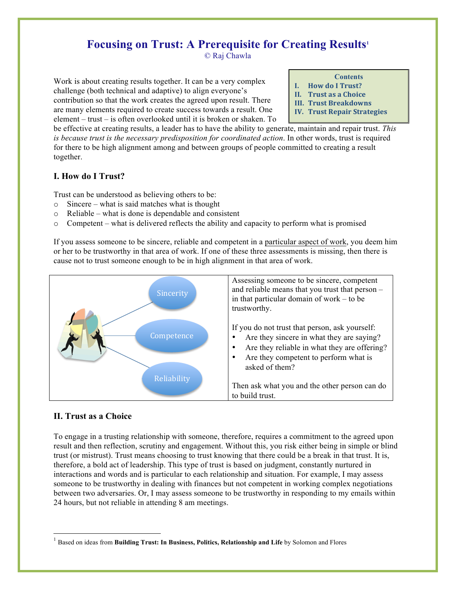# **Focusing on Trust: A Prerequisite for Creating Results1**

© Raj Chawla

Work is about creating results together. It can be a very complex challenge (both technical and adaptive) to align everyone's contribution so that the work creates the agreed upon result. There are many elements required to create success towards a result. One element – trust – is often overlooked until it is broken or shaken. To

- **Contents I. How do I Trust?**
- **II.** Trust as a Choice
- **III. Trust Breakdowns**
- **IV. Trust Repair Strategies**

be effective at creating results, a leader has to have the ability to generate, maintain and repair trust. *This is because trust is the necessary predisposition for coordinated action*. In other words, trust is required for there to be high alignment among and between groups of people committed to creating a result together.

## **I. How do I Trust?**

Trust can be understood as believing others to be:

- o Sincere what is said matches what is thought
- o Reliable what is done is dependable and consistent
- $\circ$  Competent what is delivered reflects the ability and capacity to perform what is promised

If you assess someone to be sincere, reliable and competent in a particular aspect of work, you deem him or her to be trustworthy in that area of work. If one of these three assessments is missing, then there is cause not to trust someone enough to be in high alignment in that area of work.



## **II. Trust as a Choice**

To engage in a trusting relationship with someone, therefore, requires a commitment to the agreed upon result and then reflection, scrutiny and engagement. Without this, you risk either being in simple or blind trust (or mistrust). Trust means choosing to trust knowing that there could be a break in that trust. It is, therefore, a bold act of leadership. This type of trust is based on judgment, constantly nurtured in interactions and words and is particular to each relationship and situation. For example, I may assess someone to be trustworthy in dealing with finances but not competent in working complex negotiations between two adversaries. Or, I may assess someone to be trustworthy in responding to my emails within 24 hours, but not reliable in attending 8 am meetings.

 <sup>1</sup> Based on ideas from **Building Trust: In Business, Politics, Relationship and Life** by Solomon and Flores